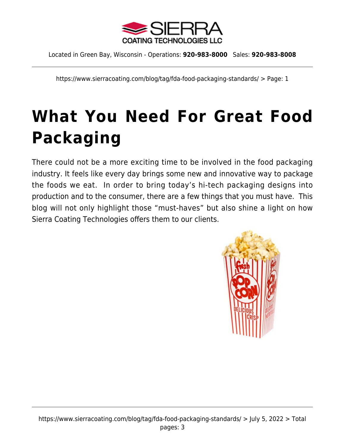

Located in Green Bay, Wisconsin - Operations: **920-983-8000** Sales: **920-983-8008**

https://www.sierracoating.com/blog/tag/fda-food-packaging-standards/ > Page: 1

## **[What You Need For Great Food](https://www.sierracoating.com/blog/what-you-need-for-great-food-packaging/) [Packaging](https://www.sierracoating.com/blog/what-you-need-for-great-food-packaging/)**

There could not be a more exciting time to be involved in the food packaging industry. It feels like every day brings some new and innovative way to package the foods we eat. In order to bring today's hi-tech packaging designs into production and to the consumer, there are a few things that you must have. This blog will not only highlight those "must-haves" but also shine a light on how Sierra Coating Technologies offers them to our clients.

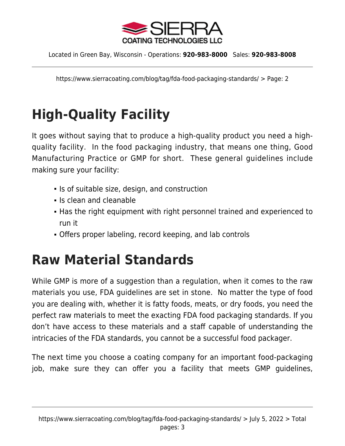

Located in Green Bay, Wisconsin - Operations: **920-983-8000** Sales: **920-983-8008**

https://www.sierracoating.com/blog/tag/fda-food-packaging-standards/ > Page: 2

## **High-Quality Facility**

It goes without saying that to produce a high-quality product you need a highquality facility. In the food packaging industry, that means one thing, Good Manufacturing Practice or GMP for short. These general guidelines include making sure your facility:

- Is of suitable size, design, and construction
- $\blacksquare$  Is clean and cleanable
- Has the right equipment with right personnel trained and experienced to run it
- Offers proper labeling, record keeping, and lab controls

## **Raw Material Standards**

While GMP is more of a suggestion than a regulation, when it comes to the raw materials you use, FDA guidelines are set in stone. No matter the type of food you are dealing with, whether it is fatty foods, meats, or dry foods, you need the perfect raw materials to meet the exacting FDA food packaging standards. If you don't have access to these materials and a staff capable of understanding the intricacies of the FDA standards, you cannot be a successful food packager.

The next time you choose a coating company for an important food-packaging job, make sure they can offer you a facility that meets GMP guidelines,